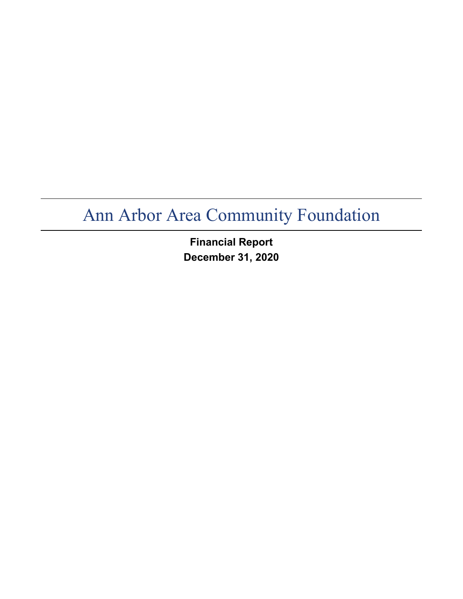**Financial Report December 31, 2020**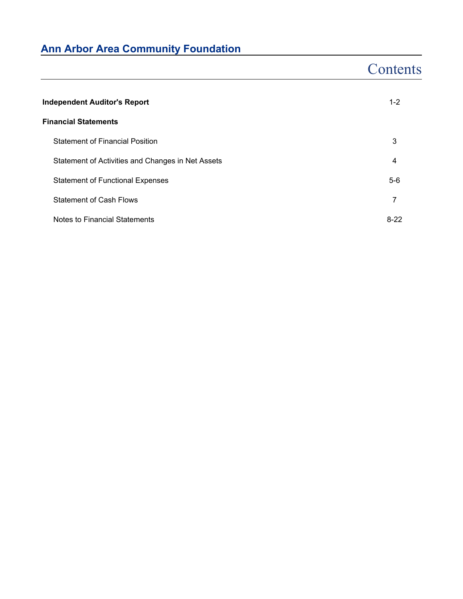# **Contents**

| <b>Independent Auditor's Report</b>               | $1 - 2$ |
|---------------------------------------------------|---------|
| <b>Financial Statements</b>                       |         |
| <b>Statement of Financial Position</b>            | 3       |
| Statement of Activities and Changes in Net Assets | 4       |
| <b>Statement of Functional Expenses</b>           | $5-6$   |
| <b>Statement of Cash Flows</b>                    | 7       |
| Notes to Financial Statements                     | $8-22$  |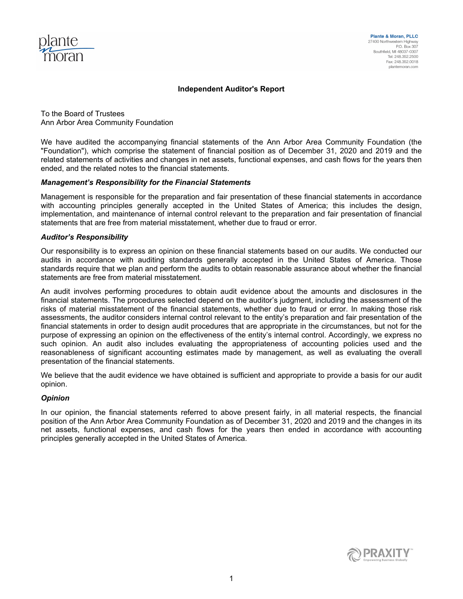

#### **Independent Auditor's Report**

To the Board of Trustees Ann Arbor Area Community Foundation

We have audited the accompanying financial statements of the Ann Arbor Area Community Foundation (the "Foundation"), which comprise the statement of financial position as of December 31, 2020 and 2019 and the related statements of activities and changes in net assets, functional expenses, and cash flows for the years then ended, and the related notes to the financial statements.

#### *Management's Responsibility for the Financial Statements*

Management is responsible for the preparation and fair presentation of these financial statements in accordance with accounting principles generally accepted in the United States of America; this includes the design, implementation, and maintenance of internal control relevant to the preparation and fair presentation of financial statements that are free from material misstatement, whether due to fraud or error.

#### *Auditor's Responsibility*

Our responsibility is to express an opinion on these financial statements based on our audits. We conducted our audits in accordance with auditing standards generally accepted in the United States of America. Those standards require that we plan and perform the audits to obtain reasonable assurance about whether the financial statements are free from material misstatement.

An audit involves performing procedures to obtain audit evidence about the amounts and disclosures in the financial statements. The procedures selected depend on the auditor's judgment, including the assessment of the risks of material misstatement of the financial statements, whether due to fraud or error. In making those risk assessments, the auditor considers internal control relevant to the entity's preparation and fair presentation of the financial statements in order to design audit procedures that are appropriate in the circumstances, but not for the purpose of expressing an opinion on the effectiveness of the entity's internal control. Accordingly, we express no such opinion. An audit also includes evaluating the appropriateness of accounting policies used and the reasonableness of significant accounting estimates made by management, as well as evaluating the overall presentation of the financial statements.

We believe that the audit evidence we have obtained is sufficient and appropriate to provide a basis for our audit opinion.

#### *Opinion*

In our opinion, the financial statements referred to above present fairly, in all material respects, the financial position of the Ann Arbor Area Community Foundation as of December 31, 2020 and 2019 and the changes in its net assets, functional expenses, and cash flows for the years then ended in accordance with accounting principles generally accepted in the United States of America.

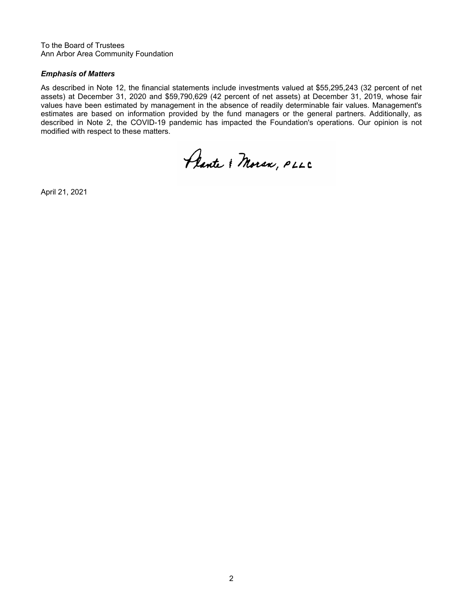To the Board of Trustees Ann Arbor Area Community Foundation

### *Emphasis of Matters*

As described in Note 12, the financial statements include investments valued at \$55,295,243 (32 percent of net assets) at December 31, 2020 and \$59,790,629 (42 percent of net assets) at December 31, 2019, whose fair values have been estimated by management in the absence of readily determinable fair values. Management's estimates are based on information provided by the fund managers or the general partners. Additionally, as described in Note 2, the COVID-19 pandemic has impacted the Foundation's operations. Our opinion is not modified with respect to these matters.

Plante & Moran, PLLC

April 21, 2021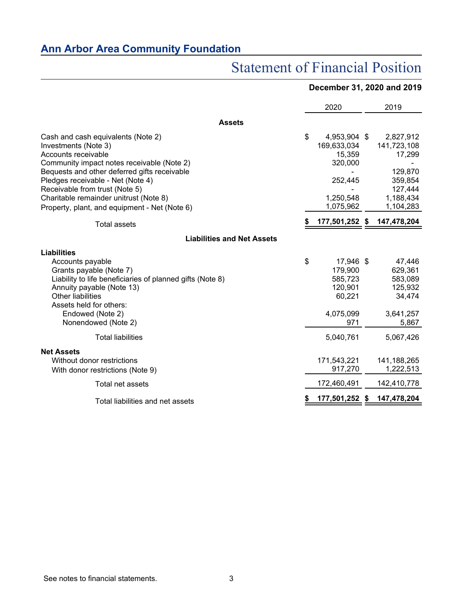# Statement of Financial Position

# **December 31, 2020 and 2019**

|                                                                                                                                                                                                                                                                                                                                                   | 2020 |                                                                                       |  | 2019                                                                                          |
|---------------------------------------------------------------------------------------------------------------------------------------------------------------------------------------------------------------------------------------------------------------------------------------------------------------------------------------------------|------|---------------------------------------------------------------------------------------|--|-----------------------------------------------------------------------------------------------|
| <b>Assets</b>                                                                                                                                                                                                                                                                                                                                     |      |                                                                                       |  |                                                                                               |
| Cash and cash equivalents (Note 2)<br>Investments (Note 3)<br>Accounts receivable<br>Community impact notes receivable (Note 2)<br>Bequests and other deferred gifts receivable<br>Pledges receivable - Net (Note 4)<br>Receivable from trust (Note 5)<br>Charitable remainder unitrust (Note 8)<br>Property, plant, and equipment - Net (Note 6) | \$   | 4,953,904 \$<br>169,633,034<br>15,359<br>320,000<br>252,445<br>1,250,548<br>1,075,962 |  | 2,827,912<br>141,723,108<br>17,299<br>129,870<br>359,854<br>127,444<br>1,188,434<br>1,104,283 |
| <b>Total assets</b>                                                                                                                                                                                                                                                                                                                               |      | 177,501,252 \$                                                                        |  | 147,478,204                                                                                   |
| <b>Liabilities and Net Assets</b>                                                                                                                                                                                                                                                                                                                 |      |                                                                                       |  |                                                                                               |
| <b>Liabilities</b><br>Accounts payable<br>Grants payable (Note 7)<br>Liability to life beneficiaries of planned gifts (Note 8)<br>Annuity payable (Note 13)<br><b>Other liabilities</b><br>Assets held for others:<br>Endowed (Note 2)<br>Nonendowed (Note 2)                                                                                     | \$   | 17,946 \$<br>179,900<br>585,723<br>120,901<br>60,221<br>4,075,099<br>971              |  | 47,446<br>629,361<br>583,089<br>125,932<br>34,474<br>3,641,257<br>5,867                       |
| <b>Total liabilities</b><br><b>Net Assets</b><br>Without donor restrictions                                                                                                                                                                                                                                                                       |      | 5,040,761<br>171,543,221                                                              |  | 5,067,426<br>141,188,265                                                                      |
| With donor restrictions (Note 9)                                                                                                                                                                                                                                                                                                                  |      | 917,270                                                                               |  | 1,222,513                                                                                     |
| Total net assets                                                                                                                                                                                                                                                                                                                                  |      | 172,460,491                                                                           |  | 142,410,778                                                                                   |
| Total liabilities and net assets                                                                                                                                                                                                                                                                                                                  |      | 177,501,252 \$                                                                        |  | 147,478,204                                                                                   |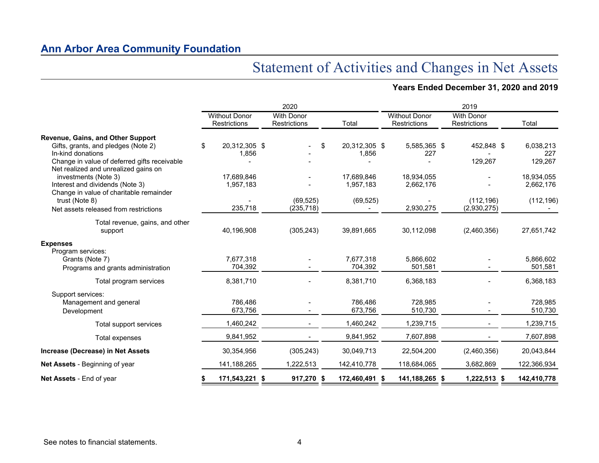# Statement of Activities and Changes in Net Assets

# **Years Ended December 31, 2020 and 2019**

|                                                                                      |                                             | 2020                              |                             |                                             | 2019                                     |                      |
|--------------------------------------------------------------------------------------|---------------------------------------------|-----------------------------------|-----------------------------|---------------------------------------------|------------------------------------------|----------------------|
|                                                                                      | <b>Without Donor</b><br><b>Restrictions</b> | <b>With Donor</b><br>Restrictions | Total                       | <b>Without Donor</b><br><b>Restrictions</b> | <b>With Donor</b><br><b>Restrictions</b> | Total                |
| Revenue, Gains, and Other Support                                                    |                                             |                                   |                             |                                             |                                          |                      |
| Gifts, grants, and pledges (Note 2)                                                  | \$<br>20,312,305 \$                         | \$                                | 20,312,305 \$               | 5,585,365 \$                                | 452,848 \$                               | 6,038,213            |
| In-kind donations                                                                    | 1,856                                       |                                   | 1,856                       | 227                                         |                                          | 227                  |
| Change in value of deferred gifts receivable<br>Net realized and unrealized gains on |                                             |                                   |                             |                                             | 129,267                                  | 129,267              |
| investments (Note 3)                                                                 | 17,689,846                                  |                                   | 17,689,846                  | 18,934,055                                  |                                          | 18,934,055           |
| Interest and dividends (Note 3)                                                      | 1,957,183                                   |                                   | 1,957,183                   | 2,662,176                                   |                                          | 2,662,176            |
| Change in value of charitable remainder                                              |                                             |                                   |                             |                                             |                                          |                      |
| trust (Note 8)<br>Net assets released from restrictions                              | 235,718                                     | (69, 525)<br>(235, 718)           | (69, 525)<br>$\blacksquare$ | 2,930,275                                   | (112, 196)<br>(2,930,275)                | (112, 196)           |
|                                                                                      |                                             |                                   |                             |                                             |                                          |                      |
| Total revenue, gains, and other                                                      |                                             |                                   |                             |                                             |                                          |                      |
| support                                                                              | 40,196,908                                  | (305, 243)                        | 39,891,665                  | 30,112,098                                  | (2,460,356)                              | 27,651,742           |
| <b>Expenses</b>                                                                      |                                             |                                   |                             |                                             |                                          |                      |
| Program services:                                                                    |                                             |                                   |                             |                                             |                                          |                      |
| Grants (Note 7)                                                                      | 7,677,318<br>704,392                        |                                   | 7,677,318<br>704,392        | 5,866,602<br>501,581                        |                                          | 5,866,602<br>501,581 |
| Programs and grants administration                                                   |                                             |                                   |                             |                                             |                                          |                      |
| Total program services                                                               | 8,381,710                                   |                                   | 8,381,710                   | 6,368,183                                   |                                          | 6,368,183            |
| Support services:                                                                    |                                             |                                   |                             |                                             |                                          |                      |
| Management and general                                                               | 786,486                                     |                                   | 786,486                     | 728,985                                     |                                          | 728,985              |
| Development                                                                          | 673,756                                     |                                   | 673,756                     | 510,730                                     |                                          | 510,730              |
| Total support services                                                               | 1,460,242                                   |                                   | 1,460,242                   | 1,239,715                                   |                                          | 1,239,715            |
| Total expenses                                                                       | 9,841,952                                   |                                   | 9,841,952                   | 7,607,898                                   |                                          | 7,607,898            |
| Increase (Decrease) in Net Assets                                                    | 30,354,956                                  | (305, 243)                        | 30,049,713                  | 22,504,200                                  | (2,460,356)                              | 20,043,844           |
| <b>Net Assets</b> - Beginning of year                                                | 141,188,265                                 | 1,222,513                         | 142,410,778                 | 118,684,065                                 | 3,682,869                                | 122,366,934          |
| Net Assets - End of year                                                             | 171,543,221 \$                              | 917,270 \$                        | 172,460,491 \$              | 141,188,265 \$                              | 1,222,513 \$                             | 142,410,778          |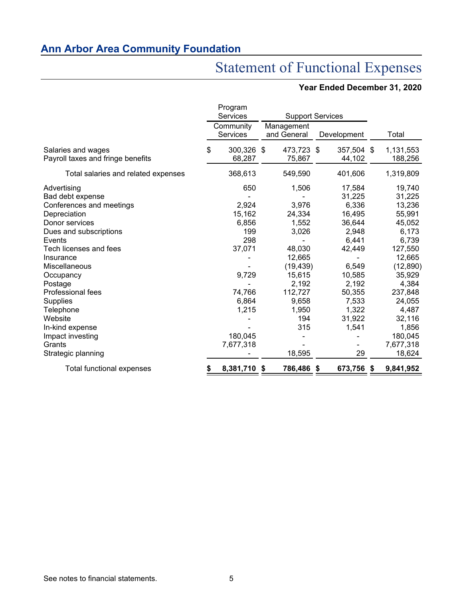# Statement of Functional Expenses

# **Year Ended December 31, 2020**

|                                     | Program               |                         |                           |    |             |                 |
|-------------------------------------|-----------------------|-------------------------|---------------------------|----|-------------|-----------------|
|                                     | Services              | <b>Support Services</b> |                           |    |             |                 |
|                                     | Community<br>Services |                         | Management<br>and General |    | Development | Total           |
| Salaries and wages                  | \$<br>300,326 \$      |                         | 473,723 \$                |    | 357,504 \$  | 1,131,553       |
| Payroll taxes and fringe benefits   | 68,287                |                         | 75,867                    |    | 44,102      | 188,256         |
| Total salaries and related expenses | 368,613               |                         | 549,590                   |    | 401,606     | 1,319,809       |
| Advertising                         | 650                   |                         | 1,506                     |    | 17,584      | 19,740          |
| Bad debt expense                    |                       |                         |                           |    | 31,225      | 31,225          |
| Conferences and meetings            | 2,924                 |                         | 3,976                     |    | 6,336       | 13,236          |
| Depreciation                        | 15,162                |                         | 24,334                    |    | 16,495      | 55,991          |
| Donor services                      | 6,856                 |                         | 1,552                     |    | 36,644      | 45,052          |
| Dues and subscriptions              | 199                   |                         | 3,026                     |    | 2,948       | 6,173           |
| Events                              | 298                   |                         |                           |    | 6,441       | 6,739           |
| Tech licenses and fees              | 37,071                |                         | 48,030                    |    | 42,449      | 127,550         |
| Insurance                           |                       |                         | 12,665                    |    |             | 12,665          |
| Miscellaneous                       |                       |                         | (19, 439)                 |    | 6,549       | (12, 890)       |
| Occupancy                           | 9,729                 |                         | 15,615                    |    | 10,585      | 35,929          |
| Postage                             |                       |                         | 2,192                     |    | 2,192       | 4,384           |
| <b>Professional fees</b>            | 74,766                |                         | 112,727                   |    | 50,355      | 237,848         |
| <b>Supplies</b>                     | 6,864                 |                         | 9,658                     |    | 7,533       | 24,055          |
| Telephone                           | 1,215                 |                         | 1,950                     |    | 1,322       | 4,487           |
| Website                             |                       |                         | 194                       |    | 31,922      | 32,116          |
| In-kind expense                     |                       |                         | 315                       |    | 1,541       | 1,856           |
| Impact investing                    | 180,045               |                         |                           |    |             | 180,045         |
| Grants                              | 7,677,318             |                         |                           |    |             | 7,677,318       |
| Strategic planning                  |                       |                         | 18,595                    |    | 29          | 18,624          |
| Total functional expenses           | 8,381,710             | \$                      | 786,486                   | \$ | 673,756     | \$<br>9,841,952 |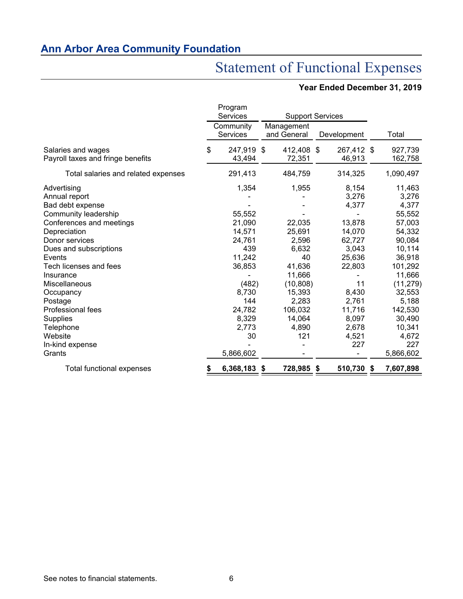# Statement of Functional Expenses

# **Year Ended December 31, 2019**

|                                     | Program<br><b>Services</b>   | <b>Support Services</b>   |               |                 |
|-------------------------------------|------------------------------|---------------------------|---------------|-----------------|
|                                     |                              |                           |               |                 |
|                                     | Community<br><b>Services</b> | Management<br>and General | Development   | Total           |
| Salaries and wages                  | \$<br>247,919                | \$<br>412,408 \$          | 267,412 \$    | 927,739         |
| Payroll taxes and fringe benefits   | 43,494                       | 72,351                    | 46,913        | 162,758         |
| Total salaries and related expenses | 291,413                      | 484,759                   | 314,325       | 1,090,497       |
| Advertising                         | 1,354                        | 1,955                     | 8,154         | 11,463          |
| Annual report                       |                              |                           | 3,276         | 3,276           |
| Bad debt expense                    |                              |                           | 4,377         | 4,377           |
| Community leadership                | 55,552                       |                           |               | 55,552          |
| Conferences and meetings            | 21,090                       | 22,035                    | 13,878        | 57,003          |
| Depreciation                        | 14,571                       | 25,691                    | 14,070        | 54,332          |
| Donor services                      | 24,761                       | 2,596                     | 62,727        | 90,084          |
| Dues and subscriptions              | 439                          | 6,632                     | 3,043         | 10,114          |
| Events                              | 11,242                       | 40                        | 25,636        | 36,918          |
| Tech licenses and fees              | 36,853                       | 41,636                    | 22,803        | 101,292         |
| Insurance                           |                              | 11,666                    |               | 11,666          |
| Miscellaneous                       | (482)                        | (10, 808)                 | 11            | (11, 279)       |
| Occupancy                           | 8,730                        | 15,393                    | 8,430         | 32,553          |
| Postage                             | 144                          | 2,283                     | 2,761         | 5,188           |
| Professional fees                   | 24,782                       | 106,032                   | 11,716        | 142,530         |
| Supplies                            | 8,329                        | 14,064                    | 8,097         | 30,490          |
| Telephone                           | 2,773                        | 4,890                     | 2,678         | 10,341          |
| Website                             | 30                           | 121                       | 4,521         | 4,672           |
| In-kind expense                     |                              |                           | 227           | 227             |
| Grants                              | 5,866,602                    |                           |               | 5,866,602       |
| Total functional expenses           | 6,368,183                    | \$<br>728,985             | \$<br>510,730 | \$<br>7,607,898 |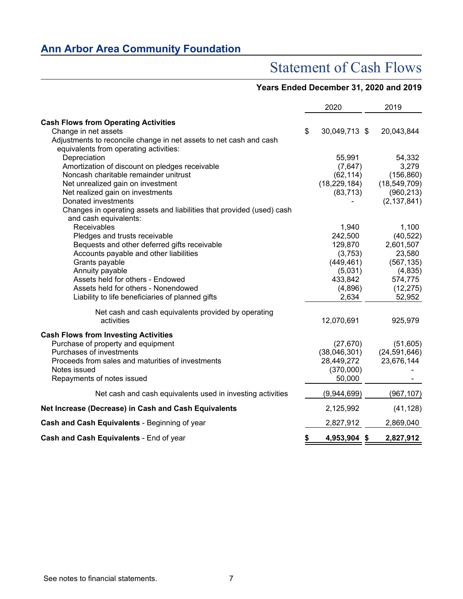# Statement of Cash Flows

# **Years Ended December 31, 2020 and 2019**

|                                                                       | 2020                | 2019           |
|-----------------------------------------------------------------------|---------------------|----------------|
| <b>Cash Flows from Operating Activities</b>                           |                     |                |
| Change in net assets                                                  | \$<br>30,049,713 \$ | 20,043,844     |
| Adjustments to reconcile change in net assets to net cash and cash    |                     |                |
| equivalents from operating activities:                                |                     |                |
| Depreciation                                                          | 55,991              | 54,332         |
| Amortization of discount on pledges receivable                        | (7,647)             | 3,279          |
| Noncash charitable remainder unitrust                                 | (62, 114)           | (156, 860)     |
| Net unrealized gain on investment                                     | (18, 229, 184)      | (18, 549, 709) |
| Net realized gain on investments                                      | (83, 713)           | (960, 213)     |
| Donated investments                                                   |                     | (2, 137, 841)  |
| Changes in operating assets and liabilities that provided (used) cash |                     |                |
| and cash equivalents:                                                 |                     |                |
| Receivables                                                           | 1,940               | 1,100          |
| Pledges and trusts receivable                                         | 242,500             | (40, 522)      |
| Bequests and other deferred gifts receivable                          | 129,870             | 2,601,507      |
| Accounts payable and other liabilities                                | (3,753)             | 23,580         |
| Grants payable                                                        | (449, 461)          | (567, 135)     |
| Annuity payable                                                       | (5,031)             | (4,835)        |
| Assets held for others - Endowed                                      | 433,842             | 574,775        |
| Assets held for others - Nonendowed                                   | (4,896)             | (12, 275)      |
| Liability to life beneficiaries of planned gifts                      | 2,634               | 52,952         |
| Net cash and cash equivalents provided by operating                   |                     |                |
| activities                                                            | 12,070,691          | 925,979        |
| <b>Cash Flows from Investing Activities</b>                           |                     |                |
| Purchase of property and equipment                                    | (27, 670)           | (51,605)       |
| Purchases of investments                                              | (38,046,301)        | (24, 591, 646) |
| Proceeds from sales and maturities of investments                     | 28,449,272          | 23,676,144     |
| Notes issued                                                          | (370,000)           |                |
| Repayments of notes issued                                            | 50,000              |                |
| Net cash and cash equivalents used in investing activities            | (9,944,699)         | (967, 107)     |
| Net Increase (Decrease) in Cash and Cash Equivalents                  | 2,125,992           | (41, 128)      |
| Cash and Cash Equivalents - Beginning of year                         | 2,827,912           | 2,869,040      |
| Cash and Cash Equivalents - End of year                               | \$<br>4,953,904 \$  | 2,827,912      |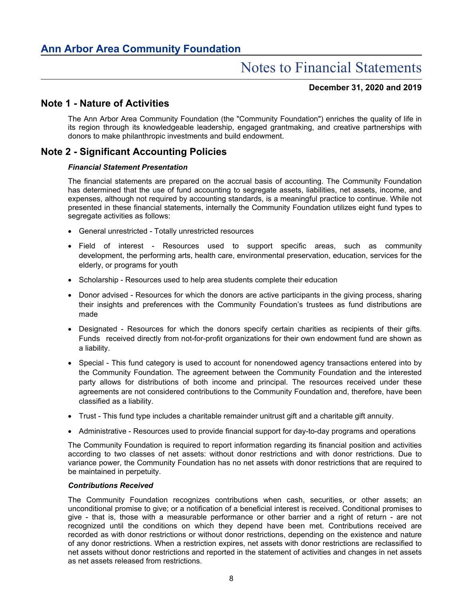### **December 31, 2020 and 2019**

## **Note 1 - Nature of Activities**

The Ann Arbor Area Community Foundation (the "Community Foundation") enriches the quality of life in its region through its knowledgeable leadership, engaged grantmaking, and creative partnerships with donors to make philanthropic investments and build endowment.

# **Note 2 - Significant Accounting Policies**

### *Financial Statement Presentation*

The financial statements are prepared on the accrual basis of accounting. The Community Foundation has determined that the use of fund accounting to segregate assets, liabilities, net assets, income, and expenses, although not required by accounting standards, is a meaningful practice to continue. While not presented in these financial statements, internally the Community Foundation utilizes eight fund types to segregate activities as follows:

- General unrestricted Totally unrestricted resources
- Field of interest Resources used to support specific areas, such as community development, the performing arts, health care, environmental preservation, education, services for the elderly, or programs for youth
- Scholarship Resources used to help area students complete their education
- Donor advised Resources for which the donors are active participants in the giving process, sharing their insights and preferences with the Community Foundation's trustees as fund distributions are made
- Designated Resources for which the donors specify certain charities as recipients of their gifts. Funds received directly from not-for-profit organizations for their own endowment fund are shown as a liability.
- Special This fund category is used to account for nonendowed agency transactions entered into by the Community Foundation. The agreement between the Community Foundation and the interested party allows for distributions of both income and principal. The resources received under these agreements are not considered contributions to the Community Foundation and, therefore, have been classified as a liability.
- Trust This fund type includes a charitable remainder unitrust gift and a charitable gift annuity.
- Administrative Resources used to provide financial support for day-to-day programs and operations

The Community Foundation is required to report information regarding its financial position and activities according to two classes of net assets: without donor restrictions and with donor restrictions. Due to variance power, the Community Foundation has no net assets with donor restrictions that are required to be maintained in perpetuity.

#### *Contributions Received*

The Community Foundation recognizes contributions when cash, securities, or other assets; an unconditional promise to give; or a notification of a beneficial interest is received. Conditional promises to give - that is, those with a measurable performance or other barrier and a right of return - are not recognized until the conditions on which they depend have been met. Contributions received are recorded as with donor restrictions or without donor restrictions, depending on the existence and nature of any donor restrictions. When a restriction expires, net assets with donor restrictions are reclassified to net assets without donor restrictions and reported in the statement of activities and changes in net assets as net assets released from restrictions.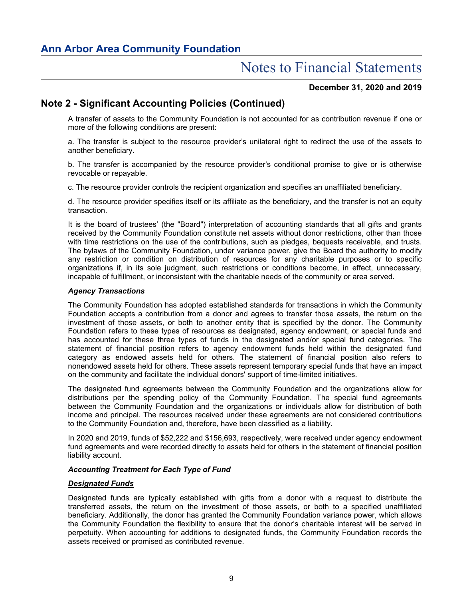### **December 31, 2020 and 2019**

# **Note 2 - Significant Accounting Policies (Continued)**

A transfer of assets to the Community Foundation is not accounted for as contribution revenue if one or more of the following conditions are present:

a. The transfer is subject to the resource provider's unilateral right to redirect the use of the assets to another beneficiary.

b. The transfer is accompanied by the resource provider's conditional promise to give or is otherwise revocable or repayable.

c. The resource provider controls the recipient organization and specifies an unaffiliated beneficiary.

d. The resource provider specifies itself or its affiliate as the beneficiary, and the transfer is not an equity transaction.

It is the board of trustees' (the "Board") interpretation of accounting standards that all gifts and grants received by the Community Foundation constitute net assets without donor restrictions, other than those with time restrictions on the use of the contributions, such as pledges, bequests receivable, and trusts. The bylaws of the Community Foundation, under variance power, give the Board the authority to modify any restriction or condition on distribution of resources for any charitable purposes or to specific organizations if, in its sole judgment, such restrictions or conditions become, in effect, unnecessary, incapable of fulfillment, or inconsistent with the charitable needs of the community or area served.

### *Agency Transactions*

The Community Foundation has adopted established standards for transactions in which the Community Foundation accepts a contribution from a donor and agrees to transfer those assets, the return on the investment of those assets, or both to another entity that is specified by the donor. The Community Foundation refers to these types of resources as designated, agency endowment, or special funds and has accounted for these three types of funds in the designated and/or special fund categories. The statement of financial position refers to agency endowment funds held within the designated fund category as endowed assets held for others. The statement of financial position also refers to nonendowed assets held for others. These assets represent temporary special funds that have an impact on the community and facilitate the individual donors' support of time-limited initiatives.

The designated fund agreements between the Community Foundation and the organizations allow for distributions per the spending policy of the Community Foundation. The special fund agreements between the Community Foundation and the organizations or individuals allow for distribution of both income and principal. The resources received under these agreements are not considered contributions to the Community Foundation and, therefore, have been classified as a liability.

In 2020 and 2019, funds of \$52,222 and \$156,693, respectively, were received under agency endowment fund agreements and were recorded directly to assets held for others in the statement of financial position liability account.

#### *Accounting Treatment for Each Type of Fund*

#### *Designated Funds*

Designated funds are typically established with gifts from a donor with a request to distribute the transferred assets, the return on the investment of those assets, or both to a specified unaffiliated beneficiary. Additionally, the donor has granted the Community Foundation variance power, which allows the Community Foundation the flexibility to ensure that the donor's charitable interest will be served in perpetuity. When accounting for additions to designated funds, the Community Foundation records the assets received or promised as contributed revenue.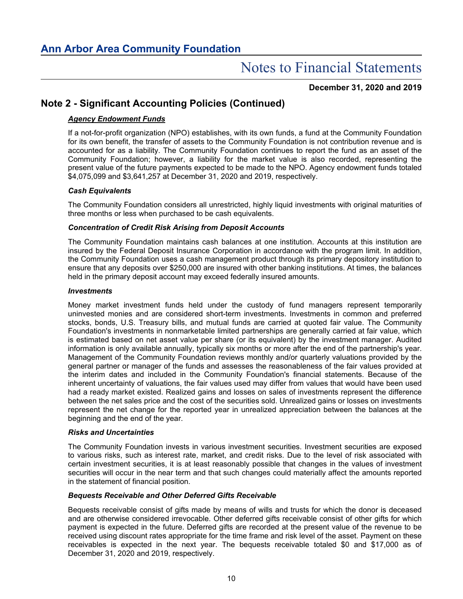**December 31, 2020 and 2019**

# **Note 2 - Significant Accounting Policies (Continued)**

### *Agency Endowment Funds*

If a not-for-profit organization (NPO) establishes, with its own funds, a fund at the Community Foundation for its own benefit, the transfer of assets to the Community Foundation is not contribution revenue and is accounted for as a liability. The Community Foundation continues to report the fund as an asset of the Community Foundation; however, a liability for the market value is also recorded, representing the present value of the future payments expected to be made to the NPO. Agency endowment funds totaled \$4,075,099 and \$3,641,257 at December 31, 2020 and 2019, respectively.

### *Cash Equivalents*

The Community Foundation considers all unrestricted, highly liquid investments with original maturities of three months or less when purchased to be cash equivalents.

### *Concentration of Credit Risk Arising from Deposit Accounts*

The Community Foundation maintains cash balances at one institution. Accounts at this institution are insured by the Federal Deposit Insurance Corporation in accordance with the program limit. In addition, the Community Foundation uses a cash management product through its primary depository institution to ensure that any deposits over \$250,000 are insured with other banking institutions. At times, the balances held in the primary deposit account may exceed federally insured amounts.

### *Investments*

Money market investment funds held under the custody of fund managers represent temporarily uninvested monies and are considered short-term investments. Investments in common and preferred stocks, bonds, U.S. Treasury bills, and mutual funds are carried at quoted fair value. The Community Foundation's investments in nonmarketable limited partnerships are generally carried at fair value, which is estimated based on net asset value per share (or its equivalent) by the investment manager. Audited information is only available annually, typically six months or more after the end of the partnership's year. Management of the Community Foundation reviews monthly and/or quarterly valuations provided by the general partner or manager of the funds and assesses the reasonableness of the fair values provided at the interim dates and included in the Community Foundation's financial statements. Because of the inherent uncertainty of valuations, the fair values used may differ from values that would have been used had a ready market existed. Realized gains and losses on sales of investments represent the difference between the net sales price and the cost of the securities sold. Unrealized gains or losses on investments represent the net change for the reported year in unrealized appreciation between the balances at the beginning and the end of the year.

### *Risks and Uncertainties*

The Community Foundation invests in various investment securities. Investment securities are exposed to various risks, such as interest rate, market, and credit risks. Due to the level of risk associated with certain investment securities, it is at least reasonably possible that changes in the values of investment securities will occur in the near term and that such changes could materially affect the amounts reported in the statement of financial position.

### *Bequests Receivable and Other Deferred Gifts Receivable*

Bequests receivable consist of gifts made by means of wills and trusts for which the donor is deceased and are otherwise considered irrevocable. Other deferred gifts receivable consist of other gifts for which payment is expected in the future. Deferred gifts are recorded at the present value of the revenue to be received using discount rates appropriate for the time frame and risk level of the asset. Payment on these receivables is expected in the next year. The bequests receivable totaled \$0 and \$17,000 as of December 31, 2020 and 2019, respectively.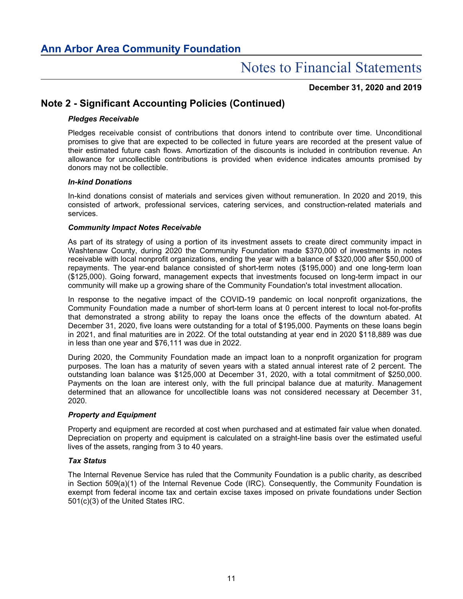**December 31, 2020 and 2019**

# **Note 2 - Significant Accounting Policies (Continued)**

### *Pledges Receivable*

Pledges receivable consist of contributions that donors intend to contribute over time. Unconditional promises to give that are expected to be collected in future years are recorded at the present value of their estimated future cash flows. Amortization of the discounts is included in contribution revenue. An allowance for uncollectible contributions is provided when evidence indicates amounts promised by donors may not be collectible.

### *In-kind Donations*

In-kind donations consist of materials and services given without remuneration. In 2020 and 2019, this consisted of artwork, professional services, catering services, and construction-related materials and services.

### *Community Impact Notes Receivable*

As part of its strategy of using a portion of its investment assets to create direct community impact in Washtenaw County, during 2020 the Community Foundation made \$370,000 of investments in notes receivable with local nonprofit organizations, ending the year with a balance of \$320,000 after \$50,000 of repayments. The year-end balance consisted of short-term notes (\$195,000) and one long-term loan (\$125,000). Going forward, management expects that investments focused on long-term impact in our community will make up a growing share of the Community Foundation's total investment allocation.

In response to the negative impact of the COVID-19 pandemic on local nonprofit organizations, the Community Foundation made a number of short-term loans at 0 percent interest to local not-for-profits that demonstrated a strong ability to repay the loans once the effects of the downturn abated. At December 31, 2020, five loans were outstanding for a total of \$195,000. Payments on these loans begin in 2021, and final maturities are in 2022. Of the total outstanding at year end in 2020 \$118,889 was due in less than one year and \$76,111 was due in 2022.

During 2020, the Community Foundation made an impact loan to a nonprofit organization for program purposes. The loan has a maturity of seven years with a stated annual interest rate of 2 percent. The outstanding loan balance was \$125,000 at December 31, 2020, with a total commitment of \$250,000. Payments on the loan are interest only, with the full principal balance due at maturity. Management determined that an allowance for uncollectible loans was not considered necessary at December 31, 2020.

#### *Property and Equipment*

Property and equipment are recorded at cost when purchased and at estimated fair value when donated. Depreciation on property and equipment is calculated on a straight-line basis over the estimated useful lives of the assets, ranging from 3 to 40 years.

#### *Tax Status*

The Internal Revenue Service has ruled that the Community Foundation is a public charity, as described in Section 509(a)(1) of the Internal Revenue Code (IRC). Consequently, the Community Foundation is exempt from federal income tax and certain excise taxes imposed on private foundations under Section 501(c)(3) of the United States IRC.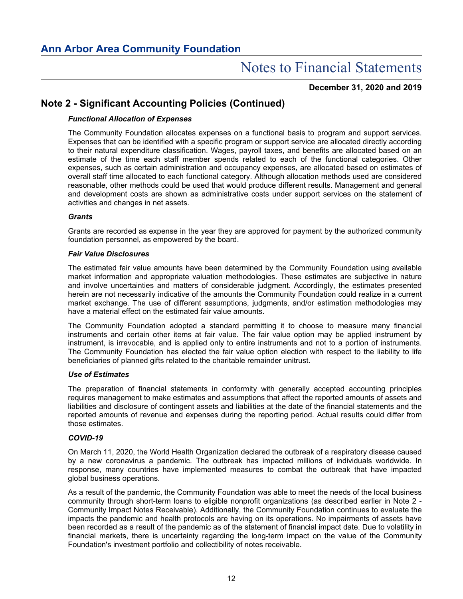**December 31, 2020 and 2019**

# **Note 2 - Significant Accounting Policies (Continued)**

### *Functional Allocation of Expenses*

The Community Foundation allocates expenses on a functional basis to program and support services. Expenses that can be identified with a specific program or support service are allocated directly according to their natural expenditure classification. Wages, payroll taxes, and benefits are allocated based on an estimate of the time each staff member spends related to each of the functional categories. Other expenses, such as certain administration and occupancy expenses, are allocated based on estimates of overall staff time allocated to each functional category. Although allocation methods used are considered reasonable, other methods could be used that would produce different results. Management and general and development costs are shown as administrative costs under support services on the statement of activities and changes in net assets.

### *Grants*

Grants are recorded as expense in the year they are approved for payment by the authorized community foundation personnel, as empowered by the board.

#### *Fair Value Disclosures*

The estimated fair value amounts have been determined by the Community Foundation using available market information and appropriate valuation methodologies. These estimates are subjective in nature and involve uncertainties and matters of considerable judgment. Accordingly, the estimates presented herein are not necessarily indicative of the amounts the Community Foundation could realize in a current market exchange. The use of different assumptions, judgments, and/or estimation methodologies may have a material effect on the estimated fair value amounts.

The Community Foundation adopted a standard permitting it to choose to measure many financial instruments and certain other items at fair value. The fair value option may be applied instrument by instrument, is irrevocable, and is applied only to entire instruments and not to a portion of instruments. The Community Foundation has elected the fair value option election with respect to the liability to life beneficiaries of planned gifts related to the charitable remainder unitrust.

#### *Use of Estimates*

The preparation of financial statements in conformity with generally accepted accounting principles requires management to make estimates and assumptions that affect the reported amounts of assets and liabilities and disclosure of contingent assets and liabilities at the date of the financial statements and the reported amounts of revenue and expenses during the reporting period. Actual results could differ from those estimates.

#### *COVID-19*

On March 11, 2020, the World Health Organization declared the outbreak of a respiratory disease caused by a new coronavirus a pandemic. The outbreak has impacted millions of individuals worldwide. In response, many countries have implemented measures to combat the outbreak that have impacted global business operations.

As a result of the pandemic, the Community Foundation was able to meet the needs of the local business community through short-term loans to eligible nonprofit organizations (as described earlier in Note 2 - Community Impact Notes Receivable). Additionally, the Community Foundation continues to evaluate the impacts the pandemic and health protocols are having on its operations. No impairments of assets have been recorded as a result of the pandemic as of the statement of financial impact date. Due to volatility in financial markets, there is uncertainty regarding the long-term impact on the value of the Community Foundation's investment portfolio and collectibility of notes receivable.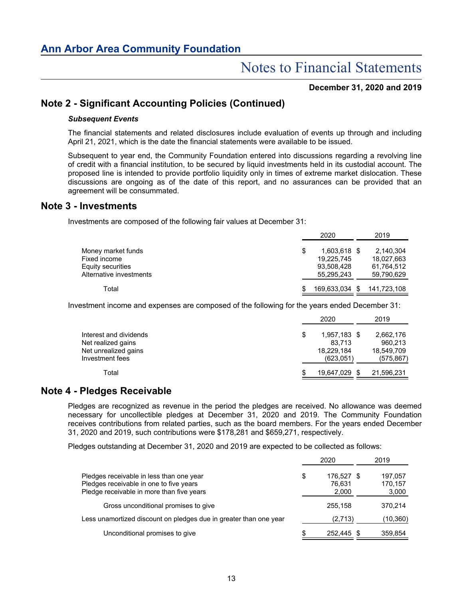### **December 31, 2020 and 2019**

## **Note 2 - Significant Accounting Policies (Continued)**

#### *Subsequent Events*

The financial statements and related disclosures include evaluation of events up through and including April 21, 2021, which is the date the financial statements were available to be issued.

Subsequent to year end, the Community Foundation entered into discussions regarding a revolving line of credit with a financial institution, to be secured by liquid investments held in its custodial account. The proposed line is intended to provide portfolio liquidity only in times of extreme market dislocation. These discussions are ongoing as of the date of this report, and no assurances can be provided that an agreement will be consummated.

### **Note 3 - Investments**

Investments are composed of the following fair values at December 31:

|                         |   | 2020           | 2019        |
|-------------------------|---|----------------|-------------|
| Money market funds      | S | 1.603.618 \$   | 2.140.304   |
| Fixed income            |   | 19,225,745     | 18,027,663  |
| Equity securities       |   | 93,508,428     | 61,764,512  |
| Alternative investments |   | 55.295.243     | 59,790,629  |
| Total                   |   | 169,633,034 \$ | 141,723,108 |

Investment income and expenses are composed of the following for the years ended December 31:

|                                            |   | 2020                 | 2019                  |
|--------------------------------------------|---|----------------------|-----------------------|
| Interest and dividends                     | S | 1,957,183 \$         | 2,662,176             |
| Net realized gains<br>Net unrealized gains |   | 83.713<br>18,229,184 | 960.213<br>18,549,709 |
| Investment fees                            |   | (623.051)            | (575, 867)            |
| Total                                      |   | 19.647.029           | 21,596,231            |

### **Note 4 - Pledges Receivable**

Pledges are recognized as revenue in the period the pledges are received. No allowance was deemed necessary for uncollectible pledges at December 31, 2020 and 2019. The Community Foundation receives contributions from related parties, such as the board members. For the years ended December 31, 2020 and 2019, such contributions were \$178,281 and \$659,271, respectively.

Pledges outstanding at December 31, 2020 and 2019 are expected to be collected as follows:

|                                                                                                                                  |    | 2020                          | 2019                        |
|----------------------------------------------------------------------------------------------------------------------------------|----|-------------------------------|-----------------------------|
| Pledges receivable in less than one year<br>Pledges receivable in one to five years<br>Pledge receivable in more than five years | \$ | 176,527 \$<br>76.631<br>2,000 | 197,057<br>170.157<br>3,000 |
| Gross unconditional promises to give                                                                                             |    | 255.158                       | 370.214                     |
| Less unamortized discount on pledges due in greater than one year                                                                |    | (2,713)                       | (10, 360)                   |
| Unconditional promises to give                                                                                                   | S  | 252.445                       | 359,854                     |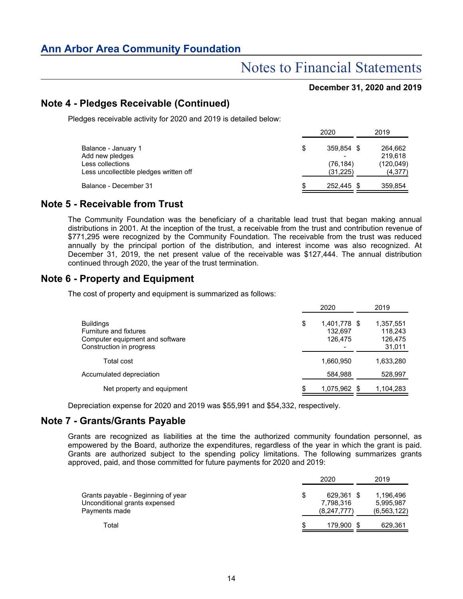### **December 31, 2020 and 2019**

# **Note 4 - Pledges Receivable (Continued)**

Pledges receivable activity for 2020 and 2019 is detailed below:

|                                        | 2020             | 2019       |
|----------------------------------------|------------------|------------|
| Balance - January 1                    | \$<br>359.854 \$ | 264,662    |
| Add new pledges                        |                  | 219.618    |
| Less collections                       | (76,184)         | (120, 049) |
| Less uncollectible pledges written off | (31, 225)        | (4,377)    |
| Balance - December 31                  | \$<br>252.445 \$ | 359,854    |
|                                        |                  |            |

## **Note 5 - Receivable from Trust**

The Community Foundation was the beneficiary of a charitable lead trust that began making annual distributions in 2001. At the inception of the trust, a receivable from the trust and contribution revenue of \$771,295 were recognized by the Community Foundation. The receivable from the trust was reduced annually by the principal portion of the distribution, and interest income was also recognized. At December 31, 2019, the net present value of the receivable was \$127,444. The annual distribution continued through 2020, the year of the trust termination.

# **Note 6 - Property and Equipment**

The cost of property and equipment is summarized as follows:

|                                                                                                           | 2020                                     | 2019                                      |
|-----------------------------------------------------------------------------------------------------------|------------------------------------------|-------------------------------------------|
| <b>Buildings</b><br>Furniture and fixtures<br>Computer equipment and software<br>Construction in progress | \$<br>1,401,778 \$<br>132.697<br>126,475 | 1,357,551<br>118,243<br>126,475<br>31,011 |
| Total cost                                                                                                | 1,660,950                                | 1,633,280                                 |
| Accumulated depreciation                                                                                  | 584.988                                  | 528,997                                   |
| Net property and equipment                                                                                | \$<br>1,075,962 \$                       | 1,104,283                                 |

Depreciation expense for 2020 and 2019 was \$55,991 and \$54,332, respectively.

# **Note 7 - Grants/Grants Payable**

Grants are recognized as liabilities at the time the authorized community foundation personnel, as empowered by the Board, authorize the expenditures, regardless of the year in which the grant is paid. Grants are authorized subject to the spending policy limitations. The following summarizes grants approved, paid, and those committed for future payments for 2020 and 2019:

|                                                                                      | 2020                                         | 2019                                    |
|--------------------------------------------------------------------------------------|----------------------------------------------|-----------------------------------------|
| Grants payable - Beginning of year<br>Unconditional grants expensed<br>Payments made | \$<br>629.361 \$<br>7,798,316<br>(8,247,777) | 1,196,496<br>5,995,987<br>(6, 563, 122) |
| Total                                                                                | \$<br>179,900 \$                             | 629,361                                 |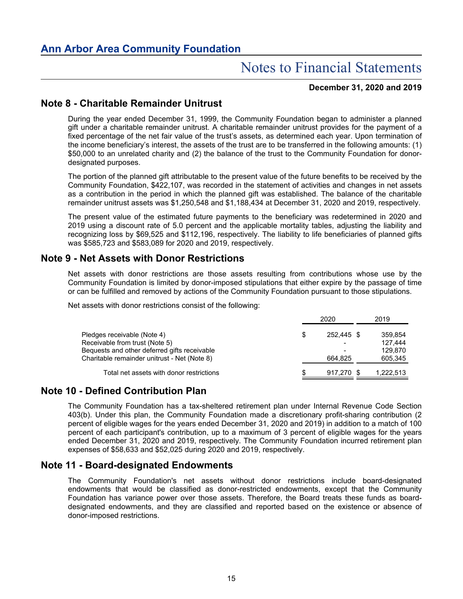### **December 31, 2020 and 2019**

# **Note 8 - Charitable Remainder Unitrust**

During the year ended December 31, 1999, the Community Foundation began to administer a planned gift under a charitable remainder unitrust. A charitable remainder unitrust provides for the payment of a fixed percentage of the net fair value of the trust's assets, as determined each year. Upon termination of the income beneficiary's interest, the assets of the trust are to be transferred in the following amounts: (1) \$50,000 to an unrelated charity and (2) the balance of the trust to the Community Foundation for donordesignated purposes.

The portion of the planned gift attributable to the present value of the future benefits to be received by the Community Foundation, \$422,107, was recorded in the statement of activities and changes in net assets as a contribution in the period in which the planned gift was established. The balance of the charitable remainder unitrust assets was \$1,250,548 and \$1,188,434 at December 31, 2020 and 2019, respectively.

The present value of the estimated future payments to the beneficiary was redetermined in 2020 and 2019 using a discount rate of 5.0 percent and the applicable mortality tables, adjusting the liability and recognizing loss by \$69,525 and \$112,196, respectively. The liability to life beneficiaries of planned gifts was \$585,723 and \$583,089 for 2020 and 2019, respectively.

# **Note 9 - Net Assets with Donor Restrictions**

Net assets with donor restrictions are those assets resulting from contributions whose use by the Community Foundation is limited by donor-imposed stipulations that either expire by the passage of time or can be fulfilled and removed by actions of the Community Foundation pursuant to those stipulations.

Net assets with donor restrictions consist of the following:

|                                              |    | 2020       | 2019      |
|----------------------------------------------|----|------------|-----------|
| Pledges receivable (Note 4)                  | \$ | 252.445 \$ | 359.854   |
| Receivable from trust (Note 5)               |    |            | 127.444   |
| Bequests and other deferred gifts receivable |    |            | 129.870   |
| Charitable remainder unitrust - Net (Note 8) |    | 664.825    | 605,345   |
| Total net assets with donor restrictions     | S  | 917,270 \$ | 1,222,513 |

## **Note 10 - Defined Contribution Plan**

The Community Foundation has a tax-sheltered retirement plan under Internal Revenue Code Section 403(b). Under this plan, the Community Foundation made a discretionary profit-sharing contribution (2 percent of eligible wages for the years ended December 31, 2020 and 2019) in addition to a match of 100 percent of each participant's contribution, up to a maximum of 3 percent of eligible wages for the years ended December 31, 2020 and 2019, respectively. The Community Foundation incurred retirement plan expenses of \$58,633 and \$52,025 during 2020 and 2019, respectively.

## **Note 11 - Board-designated Endowments**

The Community Foundation's net assets without donor restrictions include board-designated endowments that would be classified as donor-restricted endowments, except that the Community Foundation has variance power over those assets. Therefore, the Board treats these funds as boarddesignated endowments, and they are classified and reported based on the existence or absence of donor-imposed restrictions.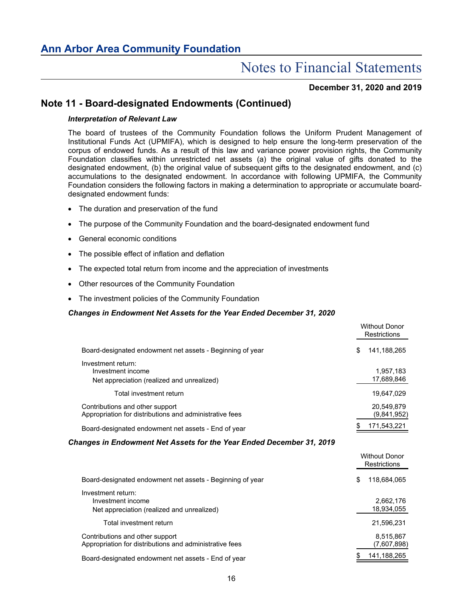### **December 31, 2020 and 2019**

### **Note 11 - Board-designated Endowments (Continued)**

#### *Interpretation of Relevant Law*

The board of trustees of the Community Foundation follows the Uniform Prudent Management of Institutional Funds Act (UPMIFA), which is designed to help ensure the long-term preservation of the corpus of endowed funds. As a result of this law and variance power provision rights, the Community Foundation classifies within unrestricted net assets (a) the original value of gifts donated to the designated endowment, (b) the original value of subsequent gifts to the designated endowment, and (c) accumulations to the designated endowment. In accordance with following UPMIFA, the Community Foundation considers the following factors in making a determination to appropriate or accumulate boarddesignated endowment funds:

- The duration and preservation of the fund
- The purpose of the Community Foundation and the board-designated endowment fund
- General economic conditions
- The possible effect of inflation and deflation
- The expected total return from income and the appreciation of investments
- Other resources of the Community Foundation
- The investment policies of the Community Foundation

#### *Changes in Endowment Net Assets for the Year Ended December 31, 2020*

|                                                                                            | <b>Without Donor</b><br>Restrictions |
|--------------------------------------------------------------------------------------------|--------------------------------------|
| Board-designated endowment net assets - Beginning of year                                  | \$<br>141.188.265                    |
| Investment return:<br>Investment income<br>Net appreciation (realized and unrealized)      | 1.957.183<br>17,689,846              |
| Total investment return                                                                    | 19.647.029                           |
| Contributions and other support<br>Appropriation for distributions and administrative fees | 20,549,879<br>(9,841,952)            |
| Board-designated endowment net assets - End of year                                        | 171,543,221                          |

#### *Changes in Endowment Net Assets for the Year Ended December 31, 2019*

|                                                                                            | <b>Without Donor</b><br>Restrictions |
|--------------------------------------------------------------------------------------------|--------------------------------------|
| Board-designated endowment net assets - Beginning of year                                  | 118,684,065<br>S                     |
| Investment return:<br>Investment income<br>Net appreciation (realized and unrealized)      | 2,662,176<br>18,934,055              |
| Total investment return                                                                    | 21,596,231                           |
| Contributions and other support<br>Appropriation for distributions and administrative fees | 8,515,867<br>(7,607,898)             |
| Board-designated endowment net assets - End of year                                        | 141,188,265                          |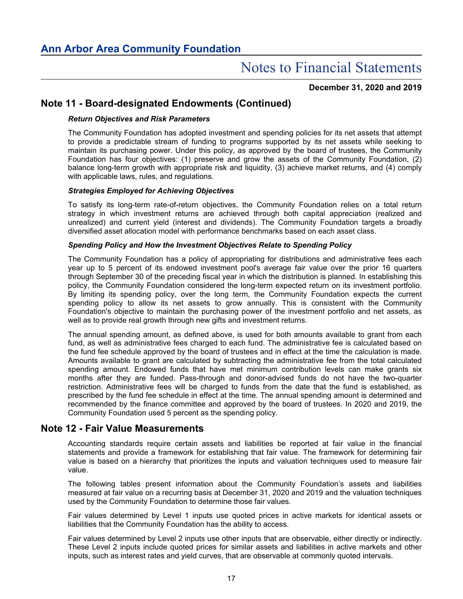**December 31, 2020 and 2019**

# **Note 11 - Board-designated Endowments (Continued)**

### *Return Objectives and Risk Parameters*

The Community Foundation has adopted investment and spending policies for its net assets that attempt to provide a predictable stream of funding to programs supported by its net assets while seeking to maintain its purchasing power. Under this policy, as approved by the board of trustees, the Community Foundation has four objectives: (1) preserve and grow the assets of the Community Foundation, (2) balance long-term growth with appropriate risk and liquidity, (3) achieve market returns, and (4) comply with applicable laws, rules, and regulations.

### *Strategies Employed for Achieving Objectives*

To satisfy its long-term rate-of-return objectives, the Community Foundation relies on a total return strategy in which investment returns are achieved through both capital appreciation (realized and unrealized) and current yield (interest and dividends). The Community Foundation targets a broadly diversified asset allocation model with performance benchmarks based on each asset class.

### *Spending Policy and How the Investment Objectives Relate to Spending Policy*

The Community Foundation has a policy of appropriating for distributions and administrative fees each year up to 5 percent of its endowed investment pool's average fair value over the prior 16 quarters through September 30 of the preceding fiscal year in which the distribution is planned. In establishing this policy, the Community Foundation considered the long-term expected return on its investment portfolio. By limiting its spending policy, over the long term, the Community Foundation expects the current spending policy to allow its net assets to grow annually. This is consistent with the Community Foundation's objective to maintain the purchasing power of the investment portfolio and net assets, as well as to provide real growth through new gifts and investment returns.

The annual spending amount, as defined above, is used for both amounts available to grant from each fund, as well as administrative fees charged to each fund. The administrative fee is calculated based on the fund fee schedule approved by the board of trustees and in effect at the time the calculation is made. Amounts available to grant are calculated by subtracting the administrative fee from the total calculated spending amount. Endowed funds that have met minimum contribution levels can make grants six months after they are funded. Pass-through and donor-advised funds do not have the two-quarter restriction. Administrative fees will be charged to funds from the date that the fund is established, as prescribed by the fund fee schedule in effect at the time. The annual spending amount is determined and recommended by the finance committee and approved by the board of trustees. In 2020 and 2019, the Community Foundation used 5 percent as the spending policy.

### **Note 12 - Fair Value Measurements**

Accounting standards require certain assets and liabilities be reported at fair value in the financial statements and provide a framework for establishing that fair value. The framework for determining fair value is based on a hierarchy that prioritizes the inputs and valuation techniques used to measure fair value.

The following tables present information about the Community Foundation's assets and liabilities measured at fair value on a recurring basis at December 31, 2020 and 2019 and the valuation techniques used by the Community Foundation to determine those fair values.

Fair values determined by Level 1 inputs use quoted prices in active markets for identical assets or liabilities that the Community Foundation has the ability to access.

Fair values determined by Level 2 inputs use other inputs that are observable, either directly or indirectly. These Level 2 inputs include quoted prices for similar assets and liabilities in active markets and other inputs, such as interest rates and yield curves, that are observable at commonly quoted intervals.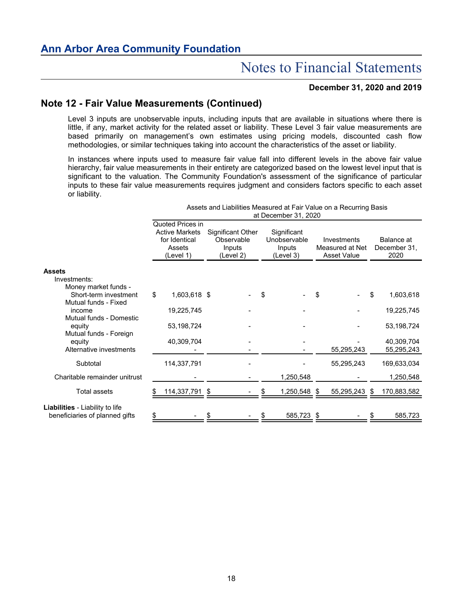### **December 31, 2020 and 2019**

# **Note 12 - Fair Value Measurements (Continued)**

Level 3 inputs are unobservable inputs, including inputs that are available in situations where there is little, if any, market activity for the related asset or liability. These Level 3 fair value measurements are based primarily on management's own estimates using pricing models, discounted cash flow methodologies, or similar techniques taking into account the characteristics of the asset or liability.

In instances where inputs used to measure fair value fall into different levels in the above fair value hierarchy, fair value measurements in their entirety are categorized based on the lowest level input that is significant to the valuation. The Community Foundation's assessment of the significance of particular inputs to these fair value measurements requires judgment and considers factors specific to each asset or liability.

|                                                                          |    |                                                                                   |    |                                                        |    | at December 31, 2020                               |    | Assets and Liabilities Measured at Fair Value on a Recurring Basis |      |                                    |  |
|--------------------------------------------------------------------------|----|-----------------------------------------------------------------------------------|----|--------------------------------------------------------|----|----------------------------------------------------|----|--------------------------------------------------------------------|------|------------------------------------|--|
|                                                                          |    | Quoted Prices in<br><b>Active Markets</b><br>for Identical<br>Assets<br>(Level 1) |    | Significant Other<br>Observable<br>Inputs<br>(Level 2) |    | Significant<br>Unobservable<br>Inputs<br>(Level 3) |    | Investments<br>Measured at Net<br><b>Asset Value</b>               |      | Balance at<br>December 31,<br>2020 |  |
| <b>Assets</b>                                                            |    |                                                                                   |    |                                                        |    |                                                    |    |                                                                    |      |                                    |  |
| Investments:<br>Money market funds -                                     |    |                                                                                   |    |                                                        |    |                                                    |    |                                                                    |      |                                    |  |
| Short-term investment<br>Mutual funds - Fixed                            | \$ | 1,603,618 \$                                                                      |    |                                                        | \$ |                                                    | \$ |                                                                    | \$   | 1,603,618                          |  |
| income<br>Mutual funds - Domestic                                        |    | 19,225,745                                                                        |    |                                                        |    |                                                    |    |                                                                    |      | 19,225,745                         |  |
| equity<br>Mutual funds - Foreign                                         |    | 53,198,724                                                                        |    |                                                        |    |                                                    |    |                                                                    |      | 53, 198, 724                       |  |
| equity<br>Alternative investments                                        |    | 40,309,704                                                                        |    |                                                        |    |                                                    |    | 55,295,243                                                         |      | 40,309,704<br>55,295,243           |  |
| Subtotal                                                                 |    | 114,337,791                                                                       |    |                                                        |    |                                                    |    | 55,295,243                                                         |      | 169,633,034                        |  |
| Charitable remainder unitrust                                            |    |                                                                                   |    |                                                        |    | 1,250,548                                          |    |                                                                    |      | 1,250,548                          |  |
| Total assets                                                             |    | 114,337,791                                                                       | \$ |                                                        |    | 1,250,548 \$                                       |    | 55,295,243                                                         | - \$ | 170,883,582                        |  |
| <b>Liabilities</b> - Liability to life<br>beneficiaries of planned gifts | \$ |                                                                                   |    |                                                        |    | 585,723                                            | \$ |                                                                    |      | 585,723                            |  |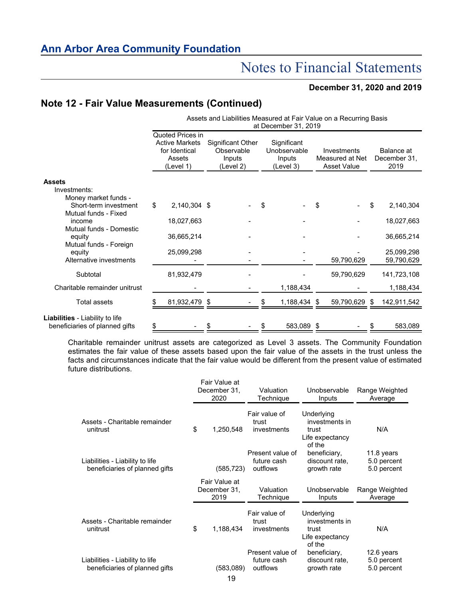### **December 31, 2020 and 2019**

# **Note 12 - Fair Value Measurements (Continued)**

|                                                                          |                                                                                   |               |                                                               |  |                                                    | at December 31, 2019 |                                                      | Assets and Liabilities Measured at Fair Value on a Recurring Basis |                                    |  |
|--------------------------------------------------------------------------|-----------------------------------------------------------------------------------|---------------|---------------------------------------------------------------|--|----------------------------------------------------|----------------------|------------------------------------------------------|--------------------------------------------------------------------|------------------------------------|--|
|                                                                          | Quoted Prices in<br><b>Active Markets</b><br>for Identical<br>Assets<br>(Level 1) |               | <b>Significant Other</b><br>Observable<br>Inputs<br>(Level 2) |  | Significant<br>Unobservable<br>Inputs<br>(Level 3) |                      | Investments<br>Measured at Net<br><b>Asset Value</b> |                                                                    | Balance at<br>December 31.<br>2019 |  |
| <b>Assets</b>                                                            |                                                                                   |               |                                                               |  |                                                    |                      |                                                      |                                                                    |                                    |  |
| Investments:<br>Money market funds -                                     |                                                                                   |               |                                                               |  |                                                    |                      |                                                      |                                                                    |                                    |  |
| Short-term investment                                                    | \$                                                                                | 2,140,304 \$  |                                                               |  | \$                                                 |                      | \$                                                   |                                                                    | \$<br>2,140,304                    |  |
| Mutual funds - Fixed<br>income                                           |                                                                                   | 18,027,663    |                                                               |  |                                                    |                      |                                                      |                                                                    | 18,027,663                         |  |
| Mutual funds - Domestic<br>equity                                        |                                                                                   | 36,665,214    |                                                               |  |                                                    |                      |                                                      |                                                                    | 36,665,214                         |  |
| Mutual funds - Foreign<br>equity                                         |                                                                                   | 25,099,298    |                                                               |  |                                                    |                      |                                                      |                                                                    | 25,099,298                         |  |
| Alternative investments                                                  |                                                                                   |               |                                                               |  |                                                    |                      |                                                      | 59,790,629                                                         | 59,790,629                         |  |
| Subtotal                                                                 |                                                                                   | 81,932,479    |                                                               |  |                                                    |                      |                                                      | 59,790,629                                                         | 141,723,108                        |  |
| Charitable remainder unitrust                                            |                                                                                   |               |                                                               |  |                                                    | 1,188,434            |                                                      |                                                                    | 1,188,434                          |  |
| <b>Total assets</b>                                                      |                                                                                   | 81,932,479 \$ |                                                               |  |                                                    | 1,188,434 \$         |                                                      | 59,790,629 \$                                                      | 142,911,542                        |  |
| <b>Liabilities</b> - Liability to life<br>beneficiaries of planned gifts | \$                                                                                |               | \$                                                            |  | S                                                  | 583,089              | \$                                                   |                                                                    | \$<br>583,089                      |  |

Charitable remainder unitrust assets are categorized as Level 3 assets. The Community Foundation estimates the fair value of these assets based upon the fair value of the assets in the trust unless the facts and circumstances indicate that the fair value would be different from the present value of estimated future distributions.

|                                                                   | Fair Value at<br>December 31,<br>2020 | Valuation<br>Technique                      | Unobservable<br>Inputs                                             | Range Weighted<br>Average                |
|-------------------------------------------------------------------|---------------------------------------|---------------------------------------------|--------------------------------------------------------------------|------------------------------------------|
| Assets - Charitable remainder<br>unitrust                         | \$<br>1,250,548                       | Fair value of<br>trust<br>investments       | Underlying<br>investments in<br>trust<br>Life expectancy<br>of the | N/A                                      |
| Liabilities - Liability to life<br>beneficiaries of planned gifts | (585,723)                             | Present value of<br>future cash<br>outflows | beneficiary,<br>discount rate,<br>growth rate                      | 11.8 years<br>5.0 percent<br>5.0 percent |
|                                                                   | Fair Value at<br>December 31,<br>2019 | Valuation<br>Technique                      | Unobservable<br>Inputs                                             | Range Weighted<br>Average                |
| Assets - Charitable remainder<br>unitrust                         | \$<br>1,188,434                       | Fair value of<br>trust<br>investments       | Underlying<br>investments in<br>trust<br>Life expectancy           | N/A                                      |
| Liabilities - Liability to life<br>beneficiaries of planned gifts | (583,089)<br>19                       | Present value of<br>future cash<br>outflows | of the<br>beneficiary,<br>discount rate,<br>growth rate            | 12.6 years<br>5.0 percent<br>5.0 percent |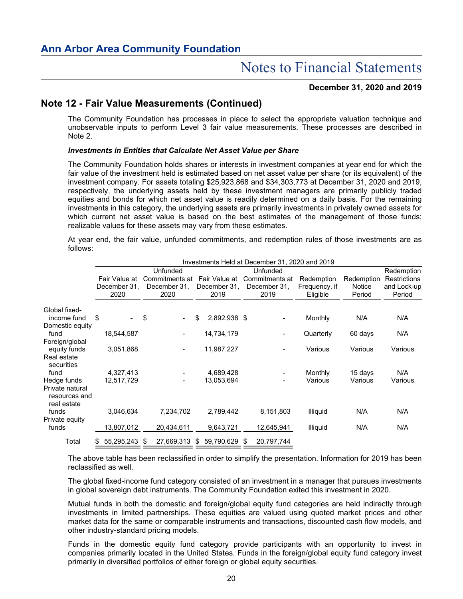### **December 31, 2020 and 2019**

# **Note 12 - Fair Value Measurements (Continued)**

The Community Foundation has processes in place to select the appropriate valuation technique and unobservable inputs to perform Level 3 fair value measurements. These processes are described in Note 2.

### *Investments in Entities that Calculate Net Asset Value per Share*

The Community Foundation holds shares or interests in investment companies at year end for which the fair value of the investment held is estimated based on net asset value per share (or its equivalent) of the investment company. For assets totaling \$25,923,868 and \$34,303,773 at December 31, 2020 and 2019, respectively, the underlying assets held by these investment managers are primarily publicly traded equities and bonds for which net asset value is readily determined on a daily basis. For the remaining investments in this category, the underlying assets are primarily investments in privately owned assets for which current net asset value is based on the best estimates of the management of those funds; realizable values for these assets may vary from these estimates.

At year end, the fair value, unfunded commitments, and redemption rules of those investments are as follows:

|                                                 | Investments Held at December 31, 2020 and 2019 |                      |      |                      |    |                      |   |                          |                           |                         |                       |  |
|-------------------------------------------------|------------------------------------------------|----------------------|------|----------------------|----|----------------------|---|--------------------------|---------------------------|-------------------------|-----------------------|--|
|                                                 |                                                |                      |      | Unfunded             |    |                      |   | Unfunded                 |                           |                         | Redemption            |  |
|                                                 |                                                | Fair Value at        |      | Commitments at       |    | Fair Value at        |   | Commitments at           | Redemption                | Redemption              | Restrictions          |  |
|                                                 |                                                | December 31.<br>2020 |      | December 31.<br>2020 |    | December 31.<br>2019 |   | December 31,<br>2019     | Frequency, if<br>Eligible | <b>Notice</b><br>Period | and Lock-up<br>Period |  |
| Global fixed-                                   |                                                |                      |      |                      |    |                      |   |                          |                           |                         |                       |  |
| income fund                                     | \$                                             | $\blacksquare$       | \$   |                      | \$ | 2,892,938 \$         |   |                          | Monthly                   | N/A                     | N/A                   |  |
| Domestic equity<br>fund                         |                                                | 18,544,587           |      |                      |    | 14,734,179           |   | $\overline{\phantom{0}}$ | Quarterly                 | 60 days                 | N/A                   |  |
| Foreign/global<br>equity funds                  |                                                | 3,051,868            |      |                      |    | 11,987,227           |   | $\blacksquare$           | Various                   | Various                 | Various               |  |
| Real estate<br>securities                       |                                                |                      |      |                      |    |                      |   |                          |                           |                         |                       |  |
| fund                                            |                                                | 4,327,413            |      |                      |    | 4,689,428            |   |                          | Monthly                   | 15 days                 | N/A                   |  |
| Hedge funds<br>Private natural<br>resources and |                                                | 12,517,729           |      |                      |    | 13,053,694           |   |                          | Various                   | Various                 | Various               |  |
| real estate<br>funds                            |                                                | 3,046,634            |      | 7,234,702            |    | 2,789,442            |   | 8,151,803                | <b>Illiquid</b>           | N/A                     | N/A                   |  |
| Private equity<br>funds                         |                                                | 13,807,012           |      | 20,434,611           |    | 9,643,721            |   | 12,645,941               | <b>Illiquid</b>           | N/A                     | N/A                   |  |
| Total                                           |                                                | 55,295,243           | - \$ | 27,669,313           | S. | 59,790,629           | S | 20,797,744               |                           |                         |                       |  |

The above table has been reclassified in order to simplify the presentation. Information for 2019 has been reclassified as well.

The global fixed-income fund category consisted of an investment in a manager that pursues investments in global sovereign debt instruments. The Community Foundation exited this investment in 2020.

Mutual funds in both the domestic and foreign/global equity fund categories are held indirectly through investments in limited partnerships. These equities are valued using quoted market prices and other market data for the same or comparable instruments and transactions, discounted cash flow models, and other industry-standard pricing models.

Funds in the domestic equity fund category provide participants with an opportunity to invest in companies primarily located in the United States. Funds in the foreign/global equity fund category invest primarily in diversified portfolios of either foreign or global equity securities.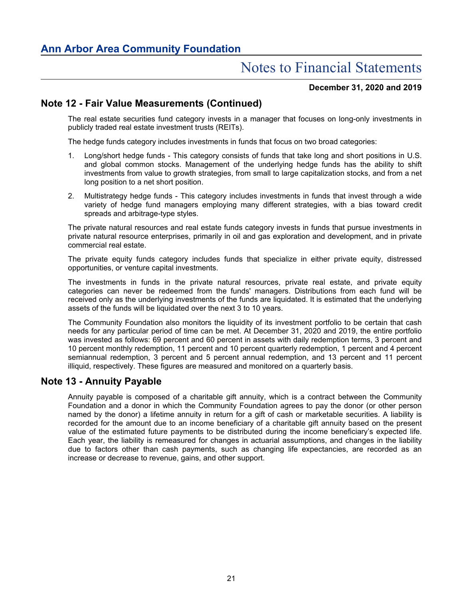### **December 31, 2020 and 2019**

# **Note 12 - Fair Value Measurements (Continued)**

The real estate securities fund category invests in a manager that focuses on long-only investments in publicly traded real estate investment trusts (REITs).

The hedge funds category includes investments in funds that focus on two broad categories:

- 1. Long/short hedge funds This category consists of funds that take long and short positions in U.S. and global common stocks. Management of the underlying hedge funds has the ability to shift investments from value to growth strategies, from small to large capitalization stocks, and from a net long position to a net short position.
- 2. Multistrategy hedge funds This category includes investments in funds that invest through a wide variety of hedge fund managers employing many different strategies, with a bias toward credit spreads and arbitrage-type styles.

The private natural resources and real estate funds category invests in funds that pursue investments in private natural resource enterprises, primarily in oil and gas exploration and development, and in private commercial real estate.

The private equity funds category includes funds that specialize in either private equity, distressed opportunities, or venture capital investments.

The investments in funds in the private natural resources, private real estate, and private equity categories can never be redeemed from the funds' managers. Distributions from each fund will be received only as the underlying investments of the funds are liquidated. It is estimated that the underlying assets of the funds will be liquidated over the next 3 to 10 years.

The Community Foundation also monitors the liquidity of its investment portfolio to be certain that cash needs for any particular period of time can be met. At December 31, 2020 and 2019, the entire portfolio was invested as follows: 69 percent and 60 percent in assets with daily redemption terms, 3 percent and 10 percent monthly redemption, 11 percent and 10 percent quarterly redemption, 1 percent and 4 percent semiannual redemption, 3 percent and 5 percent annual redemption, and 13 percent and 11 percent illiquid, respectively. These figures are measured and monitored on a quarterly basis.

## **Note 13 - Annuity Payable**

Annuity payable is composed of a charitable gift annuity, which is a contract between the Community Foundation and a donor in which the Community Foundation agrees to pay the donor (or other person named by the donor) a lifetime annuity in return for a gift of cash or marketable securities. A liability is recorded for the amount due to an income beneficiary of a charitable gift annuity based on the present value of the estimated future payments to be distributed during the income beneficiary's expected life. Each year, the liability is remeasured for changes in actuarial assumptions, and changes in the liability due to factors other than cash payments, such as changing life expectancies, are recorded as an increase or decrease to revenue, gains, and other support.